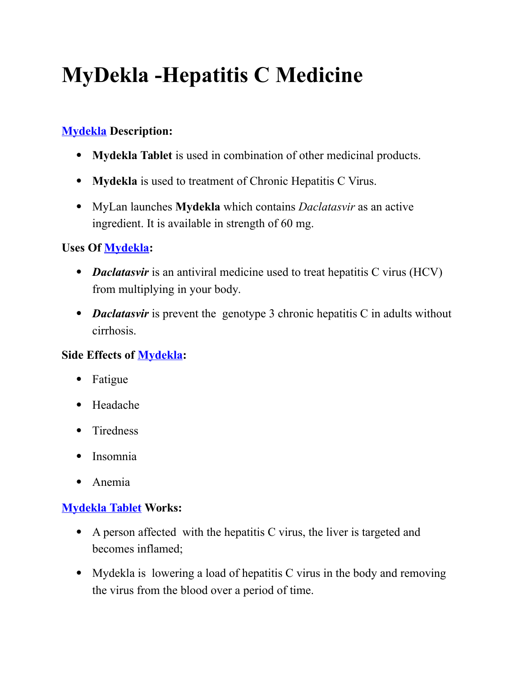# **MyDekla -Hepatitis C Medicine**

# **[Mydekla](https://applepharma.us/) Description:**

- **Mydekla Tablet** is used in combination of other medicinal products.
- **Mydekla** is used to treatment of Chronic Hepatitis C Virus.
- MyLan launches **Mydekla** which contains *Daclatasvir* as an active ingredient. It is available in strength of 60 mg.

## **Uses Of [Mydekla:](https://applepharma.us/)**

- *Daclatasvir* is an antiviral medicine used to treat hepatitis C virus (HCV) from multiplying in your body.
- *Daclatasvir* is prevent the genotype 3 chronic hepatitis C in adults without cirrhosis.

# **Side Effects of [Mydekla:](https://applepharma.us/)**

- Fatigue
- Headache
- Tiredness
- Insomnia
- Anemia

#### **[Mydekla Tablet](https://applepharma.us/) Works:**

- A person affected with the hepatitis C virus, the liver is targeted and becomes inflamed;
- Mydekla is lowering a load of hepatitis C virus in the body and removing the virus from the blood over a period of time.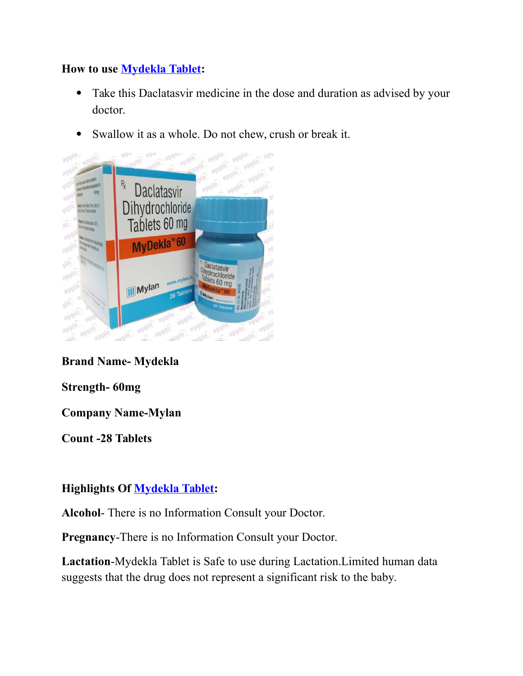#### **How to use [Mydekla Tablet:](https://applepharma.us/)**

- Take this Daclatasvir medicine in the dose and duration as advised by your doctor.
- Swallow it as a whole. Do not chew, crush or break it.



#### **Brand Name- Mydekla**

**Strength- 60mg**

**Company Name-Mylan**

**Count -28 Tablets**

#### **Highlights Of [Mydekla Tablet:](https://applepharma.us/)**

**Alcohol**- There is no Information Consult your Doctor.

**Pregnancy**-There is no Information Consult your Doctor.

**Lactation**-Mydekla Tablet is Safe to use during Lactation.Limited human data suggests that the drug does not represent a significant risk to the baby.